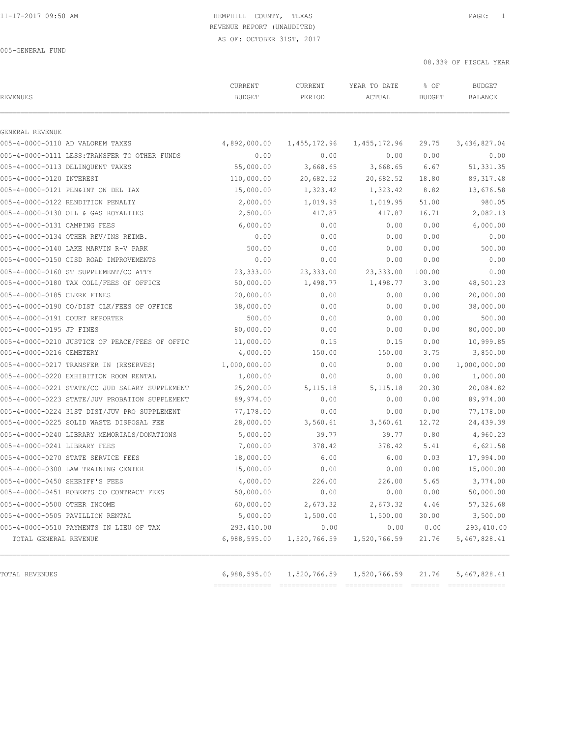#### 11-17-2017 09:50 AM HEMPHILL COUNTY, TEXAS PAGE: 1 REVENUE REPORT (UNAUDITED)

AS OF: OCTOBER 31ST, 2017

005-GENERAL FUND

| REVENUES                                       | CURRENT<br><b>BUDGET</b> | CURRENT<br>PERIOD | YEAR TO DATE<br>ACTUAL | % OF<br><b>BUDGET</b> | <b>BUDGET</b><br><b>BALANCE</b> |
|------------------------------------------------|--------------------------|-------------------|------------------------|-----------------------|---------------------------------|
|                                                |                          |                   |                        |                       |                                 |
| GENERAL REVENUE                                |                          |                   |                        |                       |                                 |
| 005-4-0000-0110 AD VALOREM TAXES               | 4,892,000.00             | 1,455,172.96      | 1,455,172.96           | 29.75                 | 3,436,827.04                    |
| 005-4-0000-0111 LESS: TRANSFER TO OTHER FUNDS  | 0.00                     | 0.00              | 0.00                   | 0.00                  | 0.00                            |
| 005-4-0000-0113 DELINOUENT TAXES               | 55,000.00                | 3,668.65          | 3,668.65               | 6.67                  | 51,331.35                       |
| 005-4-0000-0120 INTEREST                       | 110,000.00               | 20,682.52         | 20,682.52              | 18.80                 | 89, 317.48                      |
| 005-4-0000-0121 PEN&INT ON DEL TAX             | 15,000.00                | 1,323.42          | 1,323.42               | 8.82                  | 13,676.58                       |
| 005-4-0000-0122 RENDITION PENALTY              | 2,000.00                 | 1,019.95          | 1,019.95               | 51.00                 | 980.05                          |
| 005-4-0000-0130 OIL & GAS ROYALTIES            | 2,500.00                 | 417.87            | 417.87                 | 16.71                 | 2,082.13                        |
| 005-4-0000-0131 CAMPING FEES                   | 6,000.00                 | 0.00              | 0.00                   | 0.00                  | 6,000.00                        |
| 005-4-0000-0134 OTHER REV/INS REIMB.           | 0.00                     | 0.00              | 0.00                   | 0.00                  | 0.00                            |
| 005-4-0000-0140 LAKE MARVIN R-V PARK           | 500.00                   | 0.00              | 0.00                   | 0.00                  | 500.00                          |
| 005-4-0000-0150 CISD ROAD IMPROVEMENTS         | 0.00                     | 0.00              | 0.00                   | 0.00                  | 0.00                            |
| 005-4-0000-0160 ST SUPPLEMENT/CO ATTY          | 23,333.00                | 23,333.00         | 23, 333.00             | 100.00                | 0.00                            |
| 005-4-0000-0180 TAX COLL/FEES OF OFFICE        | 50,000.00                | 1,498.77          | 1,498.77               | 3.00                  | 48,501.23                       |
| 005-4-0000-0185 CLERK FINES                    | 20,000.00                | 0.00              | 0.00                   | 0.00                  | 20,000.00                       |
| 005-4-0000-0190 CO/DIST CLK/FEES OF OFFICE     | 38,000.00                | 0.00              | 0.00                   | 0.00                  | 38,000.00                       |
| 005-4-0000-0191 COURT REPORTER                 | 500.00                   | 0.00              | 0.00                   | 0.00                  | 500.00                          |
| 005-4-0000-0195 JP FINES                       | 80,000.00                | 0.00              | 0.00                   | 0.00                  | 80,000.00                       |
| 005-4-0000-0210 JUSTICE OF PEACE/FEES OF OFFIC | 11,000.00                | 0.15              | 0.15                   | 0.00                  | 10,999.85                       |
| 005-4-0000-0216 CEMETERY                       | 4,000.00                 | 150.00            | 150.00                 | 3.75                  | 3,850.00                        |
| 005-4-0000-0217 TRANSFER IN (RESERVES)         | 1,000,000.00             | 0.00              | 0.00                   | 0.00                  | 1,000,000.00                    |
| 005-4-0000-0220 EXHIBITION ROOM RENTAL         | 1,000.00                 | 0.00              | 0.00                   | 0.00                  | 1,000.00                        |
| 005-4-0000-0221 STATE/CO JUD SALARY SUPPLEMENT | 25,200.00                | 5, 115. 18        | 5, 115. 18             | 20.30                 | 20,084.82                       |
| 005-4-0000-0223 STATE/JUV PROBATION SUPPLEMENT | 89,974.00                | 0.00              | 0.00                   | 0.00                  | 89,974.00                       |
| 005-4-0000-0224 31ST DIST/JUV PRO SUPPLEMENT   | 77,178.00                | 0.00              | 0.00                   | 0.00                  | 77,178.00                       |
| 005-4-0000-0225 SOLID WASTE DISPOSAL FEE       | 28,000.00                | 3,560.61          | 3,560.61               | 12.72                 | 24,439.39                       |
| 005-4-0000-0240 LIBRARY MEMORIALS/DONATIONS    | 5,000.00                 | 39.77             | 39.77                  | 0.80                  | 4,960.23                        |
| 005-4-0000-0241 LIBRARY FEES                   | 7,000.00                 | 378.42            | 378.42                 | 5.41                  | 6,621.58                        |
| 005-4-0000-0270 STATE SERVICE FEES             | 18,000.00                | 6.00              | 6.00                   | 0.03                  | 17,994.00                       |
| 005-4-0000-0300 LAW TRAINING CENTER            | 15,000.00                | 0.00              | 0.00                   | 0.00                  | 15,000.00                       |
| 005-4-0000-0450 SHERIFF'S FEES                 | 4,000.00                 | 226.00            | 226.00                 | 5.65                  | 3,774.00                        |
| 005-4-0000-0451 ROBERTS CO CONTRACT FEES       | 50,000.00                | 0.00              | 0.00                   | 0.00                  | 50,000.00                       |
| 005-4-0000-0500 OTHER INCOME                   | 60,000.00                | 2,673.32          | 2,673.32               | 4.46                  | 57,326.68                       |
| 005-4-0000-0505 PAVILLION RENTAL               | 5,000.00                 | 1,500.00          | 1,500.00               | 30.00                 | 3,500.00                        |
| 005-4-0000-0510 PAYMENTS IN LIEU OF TAX        | 293,410.00               | 0.00              | 0.00                   | 0.00                  | 293,410.00                      |
| TOTAL GENERAL REVENUE                          | 6,988,595.00             | 1,520,766.59      | 1,520,766.59           | 21.76                 | 5,467,828.41                    |
| TOTAL REVENUES                                 | 6,988,595.00             | 1,520,766.59      | 1,520,766.59           | 21.76                 | 5,467,828.41                    |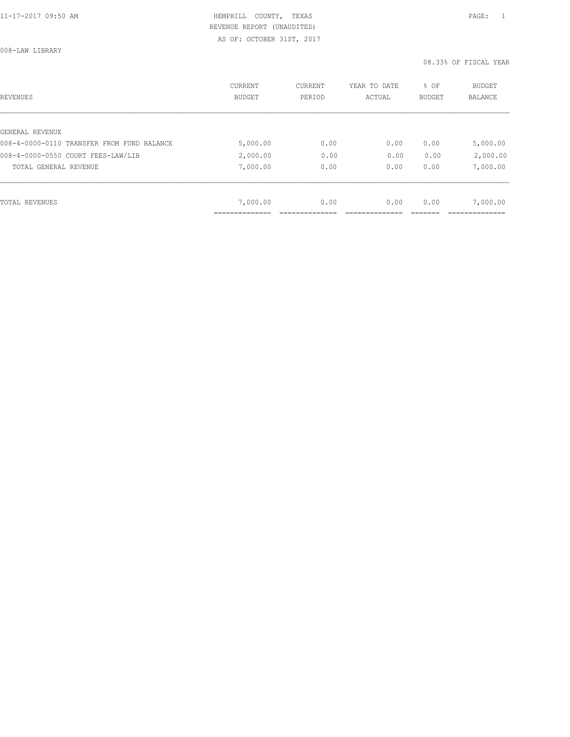008-LAW LIBRARY

| REVENUES                                   | CURRENT<br><b>BUDGET</b> | CURRENT<br>PERIOD | YEAR TO DATE<br>ACTUAL | % OF<br>BUDGET | BUDGET<br><b>BALANCE</b> |
|--------------------------------------------|--------------------------|-------------------|------------------------|----------------|--------------------------|
|                                            |                          |                   |                        |                |                          |
| GENERAL REVENUE                            |                          |                   |                        |                |                          |
| 008-4-0000-0110 TRANSFER FROM FUND BALANCE | 5,000.00                 | 0.00              | 0.00                   | 0.00           | 5,000.00                 |
| 008-4-0000-0550 COURT FEES-LAW/LIB         | 2,000.00                 | 0.00              | 0.00                   | 0.00           | 2,000.00                 |
| TOTAL GENERAL REVENUE                      | 7,000.00                 | 0.00              | 0.00                   | 0.00           | 7,000.00                 |
|                                            |                          |                   |                        |                |                          |
| TOTAL REVENUES                             | 7,000.00                 | 0.00              | 0.00                   | 0.00           | 7,000.00                 |
|                                            |                          |                   |                        |                |                          |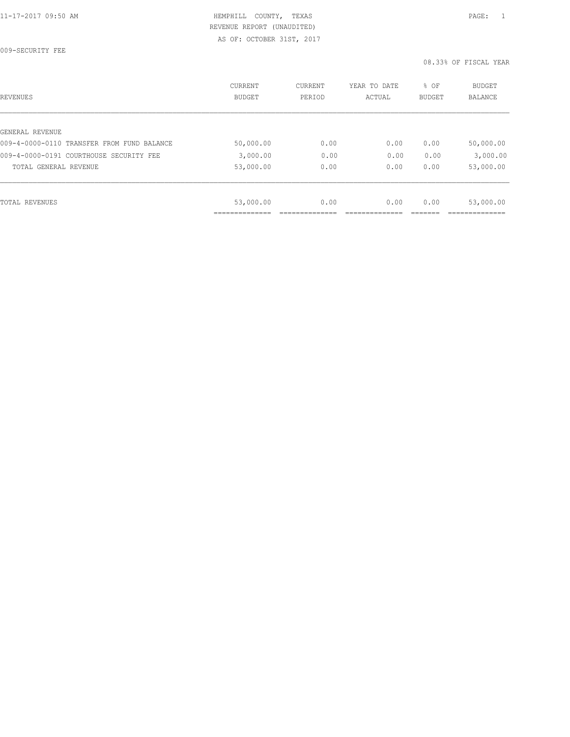009-SECURITY FEE

| REVENUES                                   | <b>CURRENT</b><br><b>BUDGET</b> | CURRENT<br>PERIOD | YEAR TO DATE<br>ACTUAL | % OF<br><b>BUDGET</b> | <b>BUDGET</b><br>BALANCE |
|--------------------------------------------|---------------------------------|-------------------|------------------------|-----------------------|--------------------------|
|                                            |                                 |                   |                        |                       |                          |
| GENERAL REVENUE                            |                                 |                   |                        |                       |                          |
| 009-4-0000-0110 TRANSFER FROM FUND BALANCE | 50,000.00                       | 0.00              | 0.00                   | 0.00                  | 50,000.00                |
| 009-4-0000-0191 COURTHOUSE SECURITY FEE    | 3,000.00                        | 0.00              | 0.00                   | 0.00                  | 3,000.00                 |
| TOTAL GENERAL REVENUE                      | 53,000.00                       | 0.00              | 0.00                   | 0.00                  | 53,000.00                |
|                                            |                                 |                   |                        |                       |                          |
| TOTAL REVENUES                             | 53,000.00                       | 0.00              | 0.00                   | 0.00                  | 53,000.00                |
|                                            |                                 |                   |                        |                       |                          |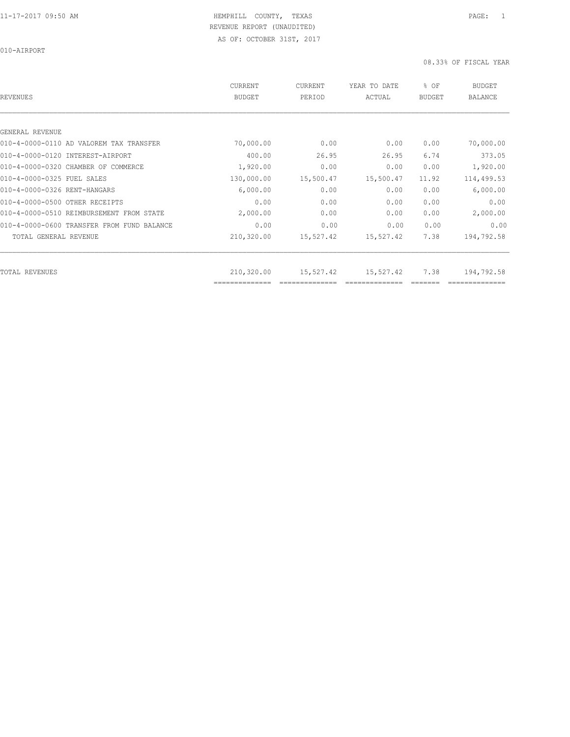010-AIRPORT

| REVENUES                                   | CURRENT<br><b>BUDGET</b>     | <b>CURRENT</b><br>PERIOD | YEAR TO DATE<br>ACTUAL | % OF<br>BUDGET | <b>BUDGET</b><br><b>BALANCE</b> |
|--------------------------------------------|------------------------------|--------------------------|------------------------|----------------|---------------------------------|
|                                            |                              |                          |                        |                |                                 |
| GENERAL REVENUE                            |                              |                          |                        |                |                                 |
| 010-4-0000-0110 AD VALOREM TAX TRANSFER    | 70,000.00                    | 0.00                     | 0.00                   | 0.00           | 70,000.00                       |
| 010-4-0000-0120 INTEREST-AIRPORT           | 400.00                       | 26.95                    | 26.95                  | 6.74           | 373.05                          |
| 010-4-0000-0320 CHAMBER OF COMMERCE        | 1,920.00                     | 0.00                     | 0.00                   | 0.00           | 1,920.00                        |
| 010-4-0000-0325 FUEL SALES                 | 130,000.00                   | 15,500.47                | 15,500.47              | 11.92          | 114,499.53                      |
| 010-4-0000-0326 RENT-HANGARS               | 6,000.00                     | 0.00                     | 0.00                   | 0.00           | 6,000.00                        |
| 010-4-0000-0500 OTHER RECEIPTS             | 0.00                         | 0.00                     | 0.00                   | 0.00           | 0.00                            |
| 010-4-0000-0510 REIMBURSEMENT FROM STATE   | 2,000.00                     | 0.00                     | 0.00                   | 0.00           | 2,000.00                        |
| 010-4-0000-0600 TRANSFER FROM FUND BALANCE | 0.00                         | 0.00                     | 0.00                   | 0.00           | 0.00                            |
| TOTAL GENERAL REVENUE                      | 210,320.00                   | 15,527.42                | 15,527.42              | 7.38           | 194,792.58                      |
|                                            |                              |                          |                        |                |                                 |
| TOTAL REVENUES                             | 210,320.00<br>============== | 15,527.42                | 15,527.42              | 7.38           | 194,792.58                      |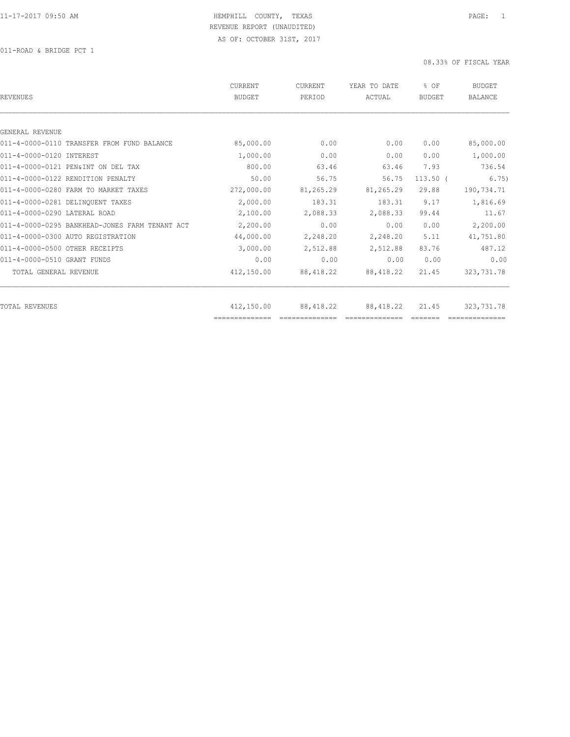011-ROAD & BRIDGE PCT 1

| REVENUES                                       | CURRENT<br><b>BUDGET</b> | CURRENT<br>PERIOD | YEAR TO DATE<br>ACTUAL | % OF<br><b>BUDGET</b> | <b>BUDGET</b><br>BALANCE |
|------------------------------------------------|--------------------------|-------------------|------------------------|-----------------------|--------------------------|
|                                                |                          |                   |                        |                       |                          |
| GENERAL REVENUE                                |                          |                   |                        |                       |                          |
| 011-4-0000-0110 TRANSFER FROM FUND BALANCE     | 85,000.00                | 0.00              | 0.00                   | 0.00                  | 85,000.00                |
| 011-4-0000-0120 INTEREST                       | 1,000.00                 | 0.00              | 0.00                   | 0.00                  | 1,000.00                 |
| 011-4-0000-0121 PEN&INT ON DEL TAX             | 800.00                   | 63.46             | 63.46                  | 7.93                  | 736.54                   |
| 011-4-0000-0122 RENDITION PENALTY              | 50.00                    | 56.75             | 56.75                  | $113.50$ (            | 6.75)                    |
| 011-4-0000-0280 FARM TO MARKET TAXES           | 272,000.00               | 81,265.29         | 81,265.29              | 29.88                 | 190,734.71               |
| 011-4-0000-0281 DELINQUENT TAXES               | 2,000.00                 | 183.31            | 183.31                 | 9.17                  | 1,816.69                 |
| 011-4-0000-0290 LATERAL ROAD                   | 2,100.00                 | 2,088.33          | 2,088.33               | 99.44                 | 11.67                    |
| 011-4-0000-0295 BANKHEAD-JONES FARM TENANT ACT | 2,200.00                 | 0.00              | 0.00                   | 0.00                  | 2,200.00                 |
| 011-4-0000-0300 AUTO REGISTRATION              | 44,000.00                | 2,248.20          | 2,248.20               | 5.11                  | 41,751.80                |
| 011-4-0000-0500 OTHER RECEIPTS                 | 3,000.00                 | 2,512.88          | 2,512.88               | 83.76                 | 487.12                   |
| 011-4-0000-0510 GRANT FUNDS                    | 0.00                     | 0.00              | 0.00                   | 0.00                  | 0.00                     |
| TOTAL GENERAL REVENUE                          | 412,150.00               | 88, 418.22        | 88, 418.22             | 21.45                 | 323,731.78               |
|                                                |                          |                   |                        |                       |                          |
| TOTAL REVENUES                                 | 412,150.00               | 88, 418.22        | 88, 418.22             | 21.45                 | 323,731.78               |
|                                                | ==============           |                   |                        |                       |                          |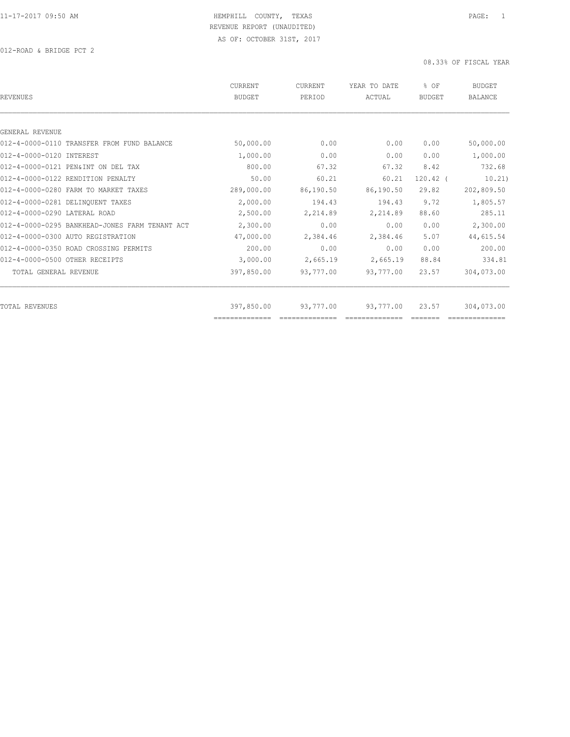012-ROAD & BRIDGE PCT 2

| REVENUES                                       | CURRENT<br><b>BUDGET</b> | CURRENT<br>PERIOD | YEAR TO DATE<br>ACTUAL | % OF<br><b>BUDGET</b> | <b>BUDGET</b><br><b>BALANCE</b> |
|------------------------------------------------|--------------------------|-------------------|------------------------|-----------------------|---------------------------------|
|                                                |                          |                   |                        |                       |                                 |
| GENERAL REVENUE                                |                          |                   |                        |                       |                                 |
| 012-4-0000-0110 TRANSFER FROM FUND BALANCE     | 50,000.00                | 0.00              | 0.00                   | 0.00                  | 50,000.00                       |
| 012-4-0000-0120 INTEREST                       | 1,000.00                 | 0.00              | 0.00                   | 0.00                  | 1,000.00                        |
| 012-4-0000-0121 PEN&INT ON DEL TAX             | 800.00                   | 67.32             | 67.32                  | 8.42                  | 732.68                          |
| 012-4-0000-0122 RENDITION PENALTY              | 50.00                    | 60.21             | 60.21                  | $120.42$ (            | 10.21)                          |
| 012-4-0000-0280 FARM TO MARKET TAXES           | 289,000.00               | 86,190.50         | 86,190.50              | 29.82                 | 202,809.50                      |
| 012-4-0000-0281 DELINQUENT TAXES               | 2,000.00                 | 194.43            | 194.43                 | 9.72                  | 1,805.57                        |
| 012-4-0000-0290 LATERAL ROAD                   | 2,500.00                 | 2,214.89          | 2,214.89               | 88.60                 | 285.11                          |
| 012-4-0000-0295 BANKHEAD-JONES FARM TENANT ACT | 2,300.00                 | 0.00              | 0.00                   | 0.00                  | 2,300.00                        |
| 012-4-0000-0300 AUTO REGISTRATION              | 47,000.00                | 2,384.46          | 2,384.46               | 5.07                  | 44,615.54                       |
| 012-4-0000-0350 ROAD CROSSING PERMITS          | 200.00                   | 0.00              | 0.00                   | 0.00                  | 200.00                          |
| 012-4-0000-0500 OTHER RECEIPTS                 | 3,000.00                 | 2,665.19          | 2,665.19               | 88.84                 | 334.81                          |
| TOTAL GENERAL REVENUE                          | 397,850.00               | 93,777.00         | 93,777.00              | 23.57                 | 304,073.00                      |
|                                                |                          |                   |                        |                       |                                 |
| TOTAL REVENUES                                 | 397,850.00               | 93,777.00         | 93,777.00              | 23.57                 | 304,073.00                      |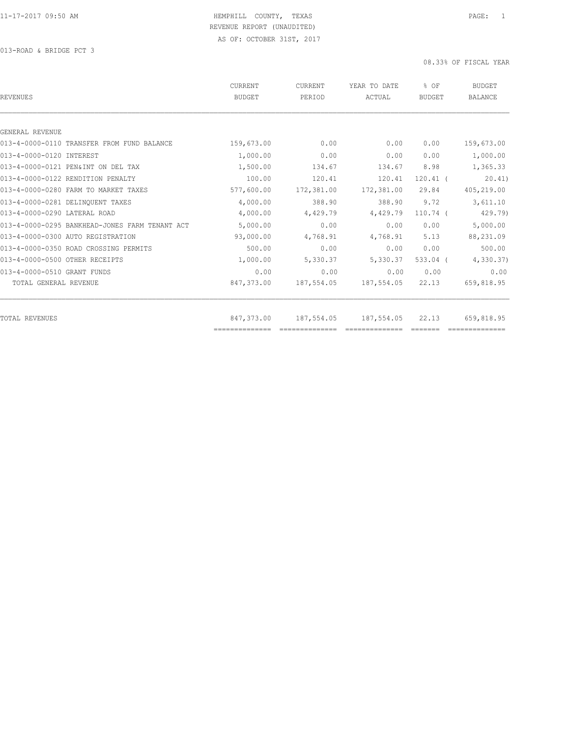013-ROAD & BRIDGE PCT 3

| REVENUES                                       | CURRENT<br>BUDGET            | <b>CURRENT</b><br>PERIOD | YEAR TO DATE<br>ACTUAL       | % OF<br>BUDGET | <b>BUDGET</b><br>BALANCE |
|------------------------------------------------|------------------------------|--------------------------|------------------------------|----------------|--------------------------|
|                                                |                              |                          |                              |                |                          |
| GENERAL REVENUE                                |                              |                          |                              |                |                          |
| 013-4-0000-0110 TRANSFER FROM FUND BALANCE     | 159,673.00                   | 0.00                     | 0.00                         | 0.00           | 159,673.00               |
| 013-4-0000-0120 INTEREST                       | 1,000.00                     | 0.00                     | 0.00                         | 0.00           | 1,000.00                 |
| 013-4-0000-0121 PEN&INT ON DEL TAX             | 1,500.00                     | 134.67                   | 134.67                       | 8.98           | 1,365.33                 |
| 013-4-0000-0122 RENDITION PENALTY              | 100.00                       | 120.41                   | 120.41                       | $120.41$ (     | 20.41                    |
| 013-4-0000-0280 FARM TO MARKET TAXES           | 577,600.00                   | 172,381.00               | 172,381.00                   | 29.84          | 405,219.00               |
| 013-4-0000-0281 DELINOUENT TAXES               | 4,000.00                     | 388.90                   | 388.90                       | 9.72           | 3,611.10                 |
| 013-4-0000-0290 LATERAL ROAD                   | 4,000.00                     | 4,429.79                 | 4,429.79                     | $110.74$ (     | 429.79)                  |
| 013-4-0000-0295 BANKHEAD-JONES FARM TENANT ACT | 5,000.00                     | 0.00                     | 0.00                         | 0.00           | 5,000.00                 |
| 013-4-0000-0300 AUTO REGISTRATION              | 93,000.00                    | 4,768.91                 | 4,768.91                     | 5.13           | 88,231.09                |
| 013-4-0000-0350 ROAD CROSSING PERMITS          | 500.00                       | 0.00                     | 0.00                         | 0.00           | 500.00                   |
| 013-4-0000-0500 OTHER RECEIPTS                 | 1,000.00                     | 5,330.37                 | 5,330.37                     | $533.04$ (     | 4,330.37                 |
| 013-4-0000-0510 GRANT FUNDS                    | 0.00                         | 0.00                     | 0.00                         | 0.00           | 0.00                     |
| TOTAL GENERAL REVENUE                          | 847,373.00                   | 187,554.05               | 187,554.05                   | 22.13          | 659,818.95               |
|                                                |                              |                          |                              |                |                          |
| TOTAL REVENUES                                 | 847,373.00<br>============== | 187,554.05               | 187,554.05<br>============== | 22.13          | 659,818.95               |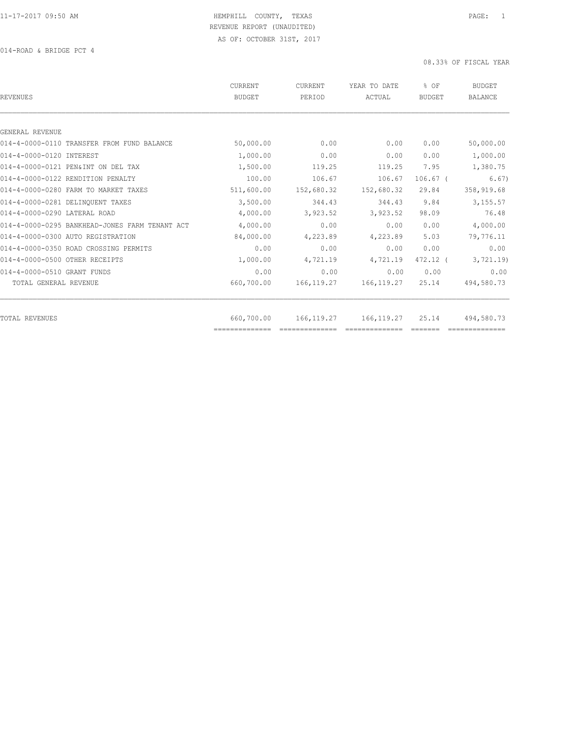014-ROAD & BRIDGE PCT 4

| CURRENT<br><b>BUDGET</b> | CURRENT<br>PERIOD | YEAR TO DATE<br>ACTUAL | % OF<br><b>BUDGET</b> | <b>BUDGET</b><br><b>BALANCE</b> |
|--------------------------|-------------------|------------------------|-----------------------|---------------------------------|
|                          |                   |                        |                       |                                 |
|                          |                   |                        |                       |                                 |
| 50,000.00                | 0.00              | 0.00                   | 0.00                  | 50,000.00                       |
| 1,000.00                 | 0.00              | 0.00                   | 0.00                  | 1,000.00                        |
| 1,500.00                 | 119.25            | 119.25                 | 7.95                  | 1,380.75                        |
| 100.00                   | 106.67            | 106.67                 | $106.67$ (            | 6.67)                           |
| 511,600.00               | 152,680.32        | 152,680.32             | 29.84                 | 358,919.68                      |
| 3,500.00                 | 344.43            | 344.43                 | 9.84                  | 3,155.57                        |
| 4,000.00                 | 3,923.52          | 3,923.52               | 98.09                 | 76.48                           |
| 4,000.00                 | 0.00              | 0.00                   | 0.00                  | 4,000.00                        |
| 84,000.00                | 4,223.89          | 4,223.89               | 5.03                  | 79,776.11                       |
| 0.00                     | 0.00              | 0.00                   | 0.00                  | 0.00                            |
| 1,000.00                 | 4,721.19          | 4,721.19               | 472.12 (              | 3,721.19                        |
| 0.00                     | 0.00              | 0.00                   | 0.00                  | 0.00                            |
| 660,700.00               | 166, 119.27       | 166, 119.27            | 25.14                 | 494,580.73                      |
| 660,700.00               | 166, 119.27       | 166, 119.27            | 25.14                 | 494,580.73                      |
|                          |                   |                        |                       |                                 |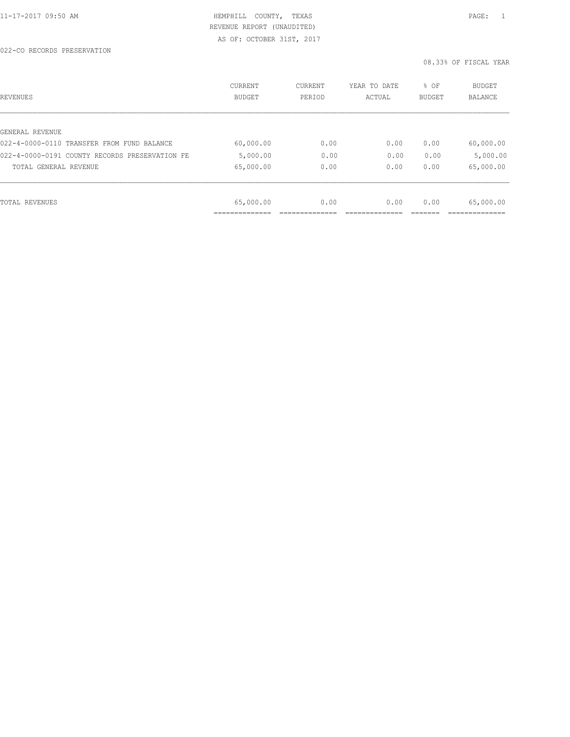| REVENUES                                       | CURRENT<br><b>BUDGET</b> | CURRENT<br>PERIOD | YEAR TO DATE<br>ACTUAL | % OF<br>BUDGET | <b>BUDGET</b><br><b>BALANCE</b> |
|------------------------------------------------|--------------------------|-------------------|------------------------|----------------|---------------------------------|
|                                                |                          |                   |                        |                |                                 |
| GENERAL REVENUE                                |                          |                   |                        |                |                                 |
| 022-4-0000-0110 TRANSFER FROM FUND BALANCE     | 60,000.00                | 0.00              | 0.00                   | 0.00           | 60,000.00                       |
| 022-4-0000-0191 COUNTY RECORDS PRESERVATION FE | 5,000.00                 | 0.00              | 0.00                   | 0.00           | 5,000.00                        |
| TOTAL GENERAL REVENUE                          | 65,000.00                | 0.00              | 0.00                   | 0.00           | 65,000.00                       |
|                                                |                          |                   |                        |                |                                 |
| TOTAL REVENUES                                 | 65,000.00                | 0.00              | 0.00                   | 0.00           | 65,000.00                       |
|                                                |                          |                   |                        |                |                                 |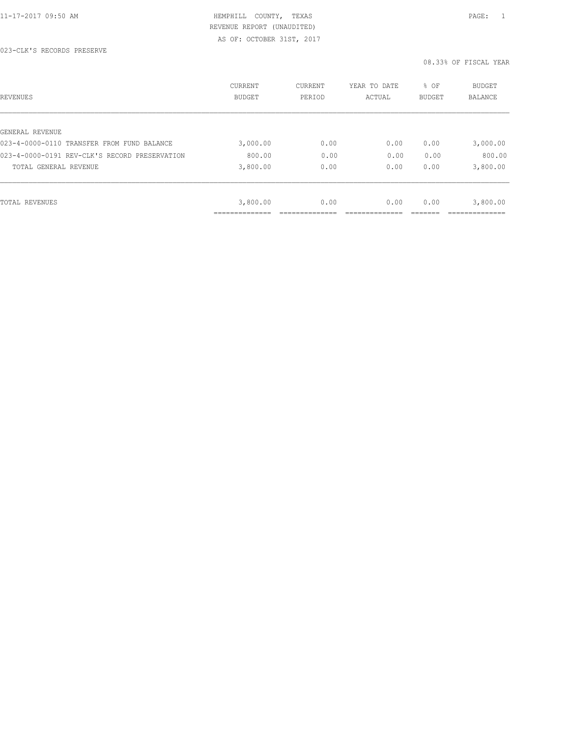| REVENUES                                      | <b>CURRENT</b><br><b>BUDGET</b> | CURRENT<br>PERIOD | YEAR TO DATE<br>ACTUAL | % OF<br><b>BUDGET</b> | BUDGET<br><b>BALANCE</b> |
|-----------------------------------------------|---------------------------------|-------------------|------------------------|-----------------------|--------------------------|
|                                               |                                 |                   |                        |                       |                          |
| GENERAL REVENUE                               |                                 |                   |                        |                       |                          |
| 023-4-0000-0110 TRANSFER FROM FUND BALANCE    | 3,000.00                        | 0.00              | 0.00                   | 0.00                  | 3,000.00                 |
| 023-4-0000-0191 REV-CLK'S RECORD PRESERVATION | 800.00                          | 0.00              | 0.00                   | 0.00                  | 800.00                   |
| TOTAL GENERAL REVENUE                         | 3,800.00                        | 0.00              | 0.00                   | 0.00                  | 3,800.00                 |
|                                               |                                 |                   |                        |                       |                          |
| TOTAL REVENUES                                | 3,800.00                        | 0.00              | 0.00                   | 0.00                  | 3,800.00                 |
|                                               |                                 |                   |                        |                       |                          |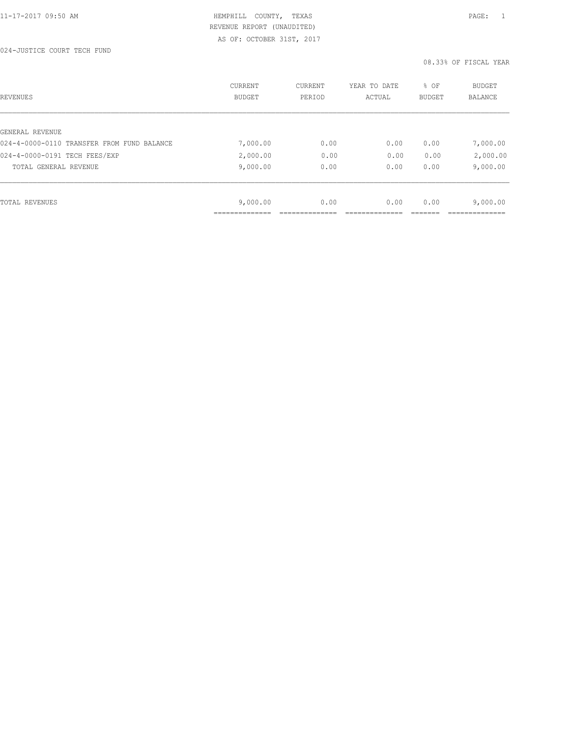024-JUSTICE COURT TECH FUND

| REVENUES                                   | <b>CURRENT</b><br><b>BUDGET</b> | CURRENT<br>PERIOD | YEAR TO DATE<br>ACTUAL | % OF<br><b>BUDGET</b> | <b>BUDGET</b><br>BALANCE |
|--------------------------------------------|---------------------------------|-------------------|------------------------|-----------------------|--------------------------|
|                                            |                                 |                   |                        |                       |                          |
| GENERAL REVENUE                            |                                 |                   |                        |                       |                          |
| 024-4-0000-0110 TRANSFER FROM FUND BALANCE | 7,000.00                        | 0.00              | 0.00                   | 0.00                  | 7,000.00                 |
| 024-4-0000-0191 TECH FEES/EXP              | 2,000.00                        | 0.00              | 0.00                   | 0.00                  | 2,000.00                 |
| TOTAL GENERAL REVENUE                      | 9,000.00                        | 0.00              | 0.00                   | 0.00                  | 9,000.00                 |
|                                            |                                 |                   |                        |                       |                          |
| TOTAL REVENUES                             | 9,000.00                        | 0.00              | 0.00                   | 0.00                  | 9,000.00                 |
|                                            |                                 |                   |                        |                       |                          |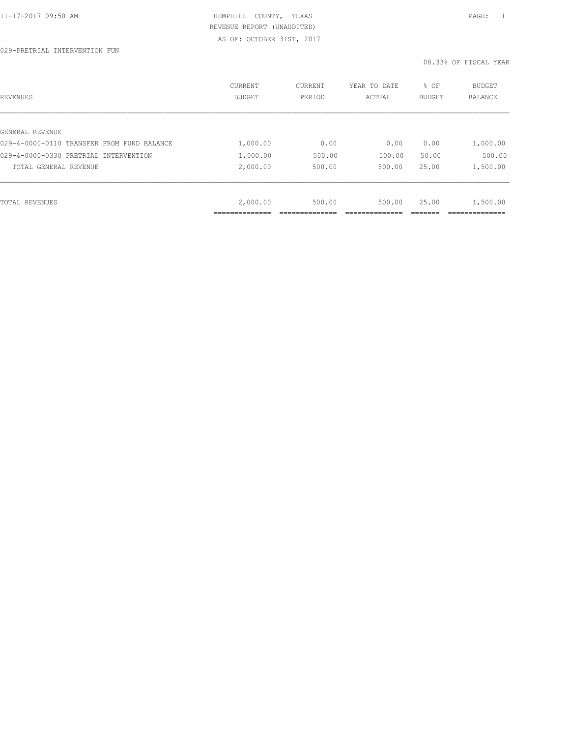| REVENUES                                   | <b>CURRENT</b><br><b>BUDGET</b> | CURRENT<br>PERIOD | YEAR TO DATE<br>ACTUAL | % OF<br><b>BUDGET</b> | <b>BUDGET</b><br>BALANCE |
|--------------------------------------------|---------------------------------|-------------------|------------------------|-----------------------|--------------------------|
|                                            |                                 |                   |                        |                       |                          |
| GENERAL REVENUE                            |                                 |                   |                        |                       |                          |
| 029-4-0000-0110 TRANSFER FROM FUND BALANCE | 1,000.00                        | 0.00              | 0.00                   | 0.00                  | 1,000.00                 |
| 029-4-0000-0330 PRETRIAL INTERVENTION      | 1,000.00                        | 500.00            | 500.00                 | 50.00                 | 500.00                   |
| TOTAL GENERAL REVENUE                      | 2,000.00                        | 500.00            | 500.00                 | 25.00                 | 1,500.00                 |
|                                            |                                 |                   |                        |                       |                          |
|                                            |                                 |                   |                        |                       |                          |
| TOTAL REVENUES                             | 2,000.00                        | 500.00            | 500.00                 | 25.00                 | 1,500.00                 |
|                                            | .                               |                   |                        |                       |                          |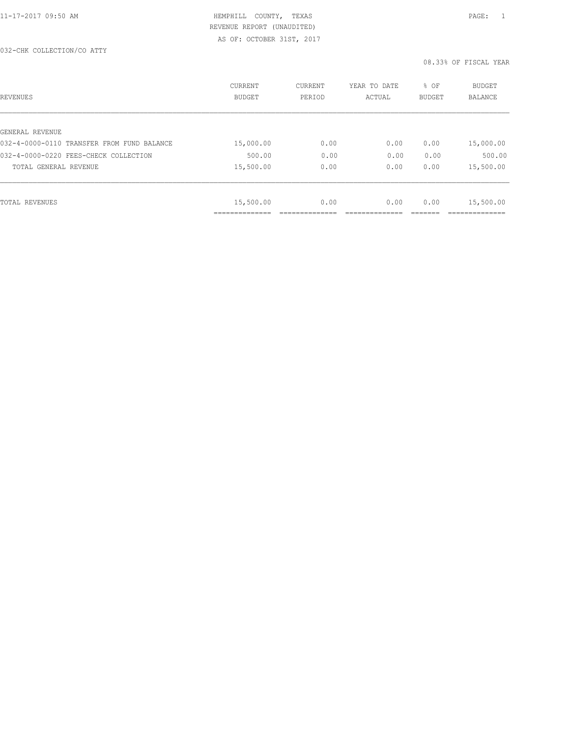| REVENUES                                   | <b>CURRENT</b><br>BUDGET | CURRENT<br>PERIOD | YEAR TO DATE<br>ACTUAL | % OF<br><b>BUDGET</b> | <b>BUDGET</b><br>BALANCE |
|--------------------------------------------|--------------------------|-------------------|------------------------|-----------------------|--------------------------|
|                                            |                          |                   |                        |                       |                          |
| GENERAL REVENUE                            |                          |                   |                        |                       |                          |
| 032-4-0000-0110 TRANSFER FROM FUND BALANCE | 15,000.00                | 0.00              | 0.00                   | 0.00                  | 15,000.00                |
| 032-4-0000-0220 FEES-CHECK COLLECTION      | 500.00                   | 0.00              | 0.00                   | 0.00                  | 500.00                   |
| TOTAL GENERAL REVENUE                      | 15,500.00                | 0.00              | 0.00                   | 0.00                  | 15,500.00                |
|                                            |                          |                   |                        |                       |                          |
| TOTAL REVENUES                             | 15,500.00                | 0.00              | 0.00                   | 0.00                  | 15,500.00                |
|                                            | ______________           |                   |                        |                       | ____________             |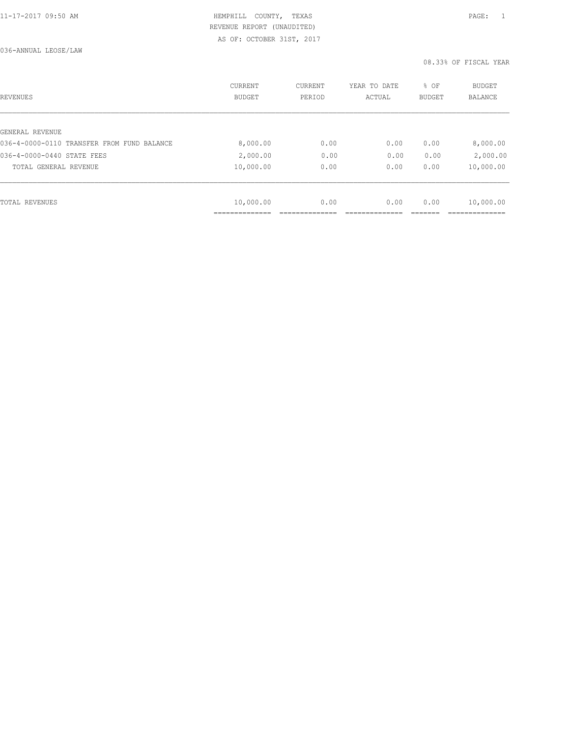| REVENUES                                   | <b>CURRENT</b><br><b>BUDGET</b> | CURRENT<br>PERIOD | YEAR TO DATE<br>ACTUAL | % OF<br>BUDGET | BUDGET<br><b>BALANCE</b> |
|--------------------------------------------|---------------------------------|-------------------|------------------------|----------------|--------------------------|
|                                            |                                 |                   |                        |                |                          |
| GENERAL REVENUE                            |                                 |                   |                        |                |                          |
| 036-4-0000-0110 TRANSFER FROM FUND BALANCE | 8,000.00                        | 0.00              | 0.00                   | 0.00           | 8,000.00                 |
| 036-4-0000-0440 STATE FEES                 | 2,000.00                        | 0.00              | 0.00                   | 0.00           | 2,000.00                 |
| TOTAL GENERAL REVENUE                      | 10,000.00                       | 0.00              | 0.00                   | 0.00           | 10,000.00                |
|                                            |                                 |                   |                        |                |                          |
| TOTAL REVENUES                             | 10,000.00                       | 0.00              | 0.00                   | 0.00           | 10,000.00                |
|                                            |                                 |                   |                        |                |                          |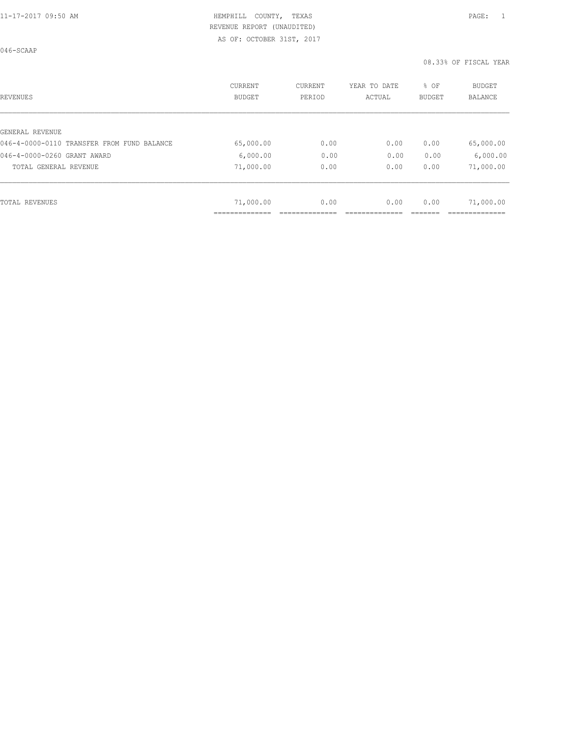046-SCAAP

| REVENUES                                   | <b>CURRENT</b><br><b>BUDGET</b> | CURRENT<br>PERIOD | YEAR TO DATE<br>ACTUAL | % OF<br>BUDGET | BUDGET<br><b>BALANCE</b> |
|--------------------------------------------|---------------------------------|-------------------|------------------------|----------------|--------------------------|
|                                            |                                 |                   |                        |                |                          |
| GENERAL REVENUE                            |                                 |                   |                        |                |                          |
| 046-4-0000-0110 TRANSFER FROM FUND BALANCE | 65,000.00                       | 0.00              | 0.00                   | 0.00           | 65,000.00                |
| 046-4-0000-0260 GRANT AWARD                | 6,000.00                        | 0.00              | 0.00                   | 0.00           | 6,000.00                 |
| TOTAL GENERAL REVENUE                      | 71,000.00                       | 0.00              | 0.00                   | 0.00           | 71,000.00                |
|                                            |                                 |                   |                        |                |                          |
| TOTAL REVENUES                             | 71,000.00                       | 0.00              | 0.00                   | 0.00           | 71,000.00                |
|                                            |                                 |                   |                        |                |                          |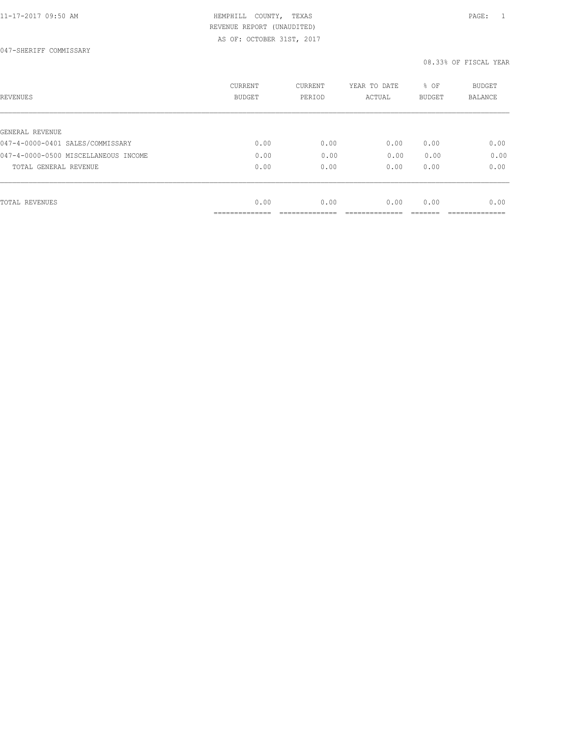047-SHERIFF COMMISSARY

| REVENUES                             | CURRENT<br><b>BUDGET</b> | CURRENT<br>PERIOD | YEAR TO DATE<br>ACTUAL | % OF<br>BUDGET | BUDGET<br>BALANCE |
|--------------------------------------|--------------------------|-------------------|------------------------|----------------|-------------------|
|                                      |                          |                   |                        |                |                   |
| GENERAL REVENUE                      |                          |                   |                        |                |                   |
| 047-4-0000-0401 SALES/COMMISSARY     | 0.00                     | 0.00              | 0.00                   | 0.00           | 0.00              |
| 047-4-0000-0500 MISCELLANEOUS INCOME | 0.00                     | 0.00              | 0.00                   | 0.00           | 0.00              |
| TOTAL GENERAL REVENUE                | 0.00                     | 0.00              | 0.00                   | 0.00           | 0.00              |
|                                      |                          |                   |                        |                |                   |
| TOTAL REVENUES                       | 0.00                     | 0.00              | 0.00                   | 0.00           | 0.00              |
|                                      | ------------             |                   |                        |                |                   |